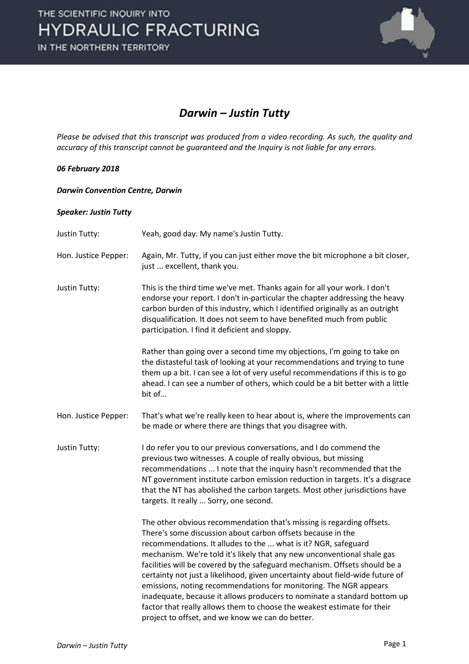

### *Darwin – Justin Tutty*

*Please be advised that this transcript was produced from a video recording. As such, the quality and accuracy of this transcript cannot be guaranteed and the Inquiry is not liable for any errors.*

#### *06 February 2018*

#### *Darwin Convention Centre, Darwin*

#### *Speaker: Justin Tutty*

| Justin Tutty:        | Yeah, good day. My name's Justin Tutty.                                                                                                                                                                                                                                                                                                                                                                                                                                                                                                                                                                                                                                                                                          |
|----------------------|----------------------------------------------------------------------------------------------------------------------------------------------------------------------------------------------------------------------------------------------------------------------------------------------------------------------------------------------------------------------------------------------------------------------------------------------------------------------------------------------------------------------------------------------------------------------------------------------------------------------------------------------------------------------------------------------------------------------------------|
| Hon. Justice Pepper: | Again, Mr. Tutty, if you can just either move the bit microphone a bit closer,<br>just  excellent, thank you.                                                                                                                                                                                                                                                                                                                                                                                                                                                                                                                                                                                                                    |
| Justin Tutty:        | This is the third time we've met. Thanks again for all your work. I don't<br>endorse your report. I don't in-particular the chapter addressing the heavy<br>carbon burden of this industry, which I identified originally as an outright<br>disqualification. It does not seem to have benefited much from public<br>participation. I find it deficient and sloppy.                                                                                                                                                                                                                                                                                                                                                              |
|                      | Rather than going over a second time my objections, I'm going to take on<br>the distasteful task of looking at your recommendations and trying to tune<br>them up a bit. I can see a lot of very useful recommendations if this is to go<br>ahead. I can see a number of others, which could be a bit better with a little<br>bit of                                                                                                                                                                                                                                                                                                                                                                                             |
| Hon. Justice Pepper: | That's what we're really keen to hear about is, where the improvements can<br>be made or where there are things that you disagree with.                                                                                                                                                                                                                                                                                                                                                                                                                                                                                                                                                                                          |
| Justin Tutty:        | I do refer you to our previous conversations, and I do commend the<br>previous two witnesses. A couple of really obvious, but missing<br>recommendations  I note that the inquiry hasn't recommended that the<br>NT government institute carbon emission reduction in targets. It's a disgrace<br>that the NT has abolished the carbon targets. Most other jurisdictions have<br>targets. It really  Sorry, one second.                                                                                                                                                                                                                                                                                                          |
|                      | The other obvious recommendation that's missing is regarding offsets.<br>There's some discussion about carbon offsets because in the<br>recommendations. It alludes to the  what is it? NGR, safeguard<br>mechanism. We're told it's likely that any new unconventional shale gas<br>facilities will be covered by the safeguard mechanism. Offsets should be a<br>certainty not just a likelihood, given uncertainty about field-wide future of<br>emissions, noting recommendations for monitoring. The NGR appears<br>inadequate, because it allows producers to nominate a standard bottom up<br>factor that really allows them to choose the weakest estimate for their<br>project to offset, and we know we can do better. |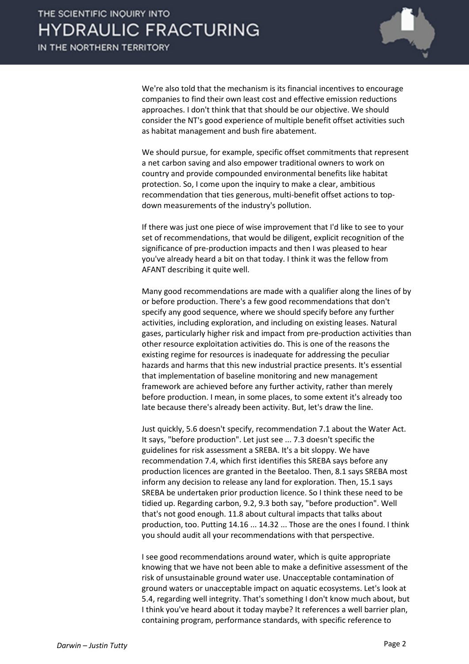

We're also told that the mechanism is its financial incentives to encourage companies to find their own least cost and effective emission reductions approaches. I don't think that that should be our objective. We should consider the NT's good experience of multiple benefit offset activities such as habitat management and bush fire abatement.

We should pursue, for example, specific offset commitments that represent a net carbon saving and also empower traditional owners to work on country and provide compounded environmental benefits like habitat protection. So, I come upon the inquiry to make a clear, ambitious recommendation that ties generous, multi-benefit offset actions to topdown measurements of the industry's pollution.

If there was just one piece of wise improvement that I'd like to see to your set of recommendations, that would be diligent, explicit recognition of the significance of pre-production impacts and then I was pleased to hear you've already heard a bit on that today. I think it was the fellow from AFANT describing it quite well.

Many good recommendations are made with a qualifier along the lines of by or before production. There's a few good recommendations that don't specify any good sequence, where we should specify before any further activities, including exploration, and including on existing leases. Natural gases, particularly higher risk and impact from pre-production activities than other resource exploitation activities do. This is one of the reasons the existing regime for resources is inadequate for addressing the peculiar hazards and harms that this new industrial practice presents. It's essential that implementation of baseline monitoring and new management framework are achieved before any further activity, rather than merely before production. I mean, in some places, to some extent it's already too late because there's already been activity. But, let's draw the line.

Just quickly, 5.6 doesn't specify, recommendation 7.1 about the Water Act. It says, "before production". Let just see ... 7.3 doesn't specific the guidelines for risk assessment a SREBA. It's a bit sloppy. We have recommendation 7.4, which first identifies this SREBA says before any production licences are granted in the Beetaloo. Then, 8.1 says SREBA most inform any decision to release any land for exploration. Then, 15.1 says SREBA be undertaken prior production licence. So I think these need to be tidied up. Regarding carbon, 9.2, 9.3 both say, "before production". Well that's not good enough. 11.8 about cultural impacts that talks about production, too. Putting 14.16 ... 14.32 ... Those are the ones I found. I think you should audit all your recommendations with that perspective.

I see good recommendations around water, which is quite appropriate knowing that we have not been able to make a definitive assessment of the risk of unsustainable ground water use. Unacceptable contamination of ground waters or unacceptable impact on aquatic ecosystems. Let's look at 5.4, regarding well integrity. That's something I don't know much about, but I think you've heard about it today maybe? It references a well barrier plan, containing program, performance standards, with specific reference to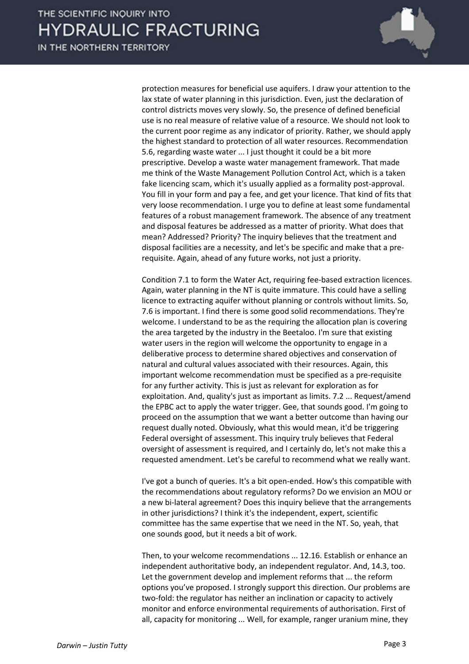IN THE NORTHERN TERRITORY



protection measures for beneficial use aquifers. I draw your attention to the lax state of water planning in this jurisdiction. Even, just the declaration of control districts moves very slowly. So, the presence of defined beneficial use is no real measure of relative value of a resource. We should not look to the current poor regime as any indicator of priority. Rather, we should apply the highest standard to protection of all water resources. Recommendation 5.6, regarding waste water ... I just thought it could be a bit more prescriptive. Develop a waste water management framework. That made me think of the Waste Management Pollution Control Act, which is a taken fake licencing scam, which it's usually applied as a formality post-approval. You fill in your form and pay a fee, and get your licence. That kind of fits that very loose recommendation. I urge you to define at least some fundamental features of a robust management framework. The absence of any treatment and disposal features be addressed as a matter of priority. What does that mean? Addressed? Priority? The inquiry believes that the treatment and disposal facilities are a necessity, and let's be specific and make that a prerequisite. Again, ahead of any future works, not just a priority.

Condition 7.1 to form the Water Act, requiring fee-based extraction licences. Again, water planning in the NT is quite immature. This could have a selling licence to extracting aquifer without planning or controls without limits. So, 7.6 is important. I find there is some good solid recommendations. They're welcome. I understand to be as the requiring the allocation plan is covering the area targeted by the industry in the Beetaloo. I'm sure that existing water users in the region will welcome the opportunity to engage in a deliberative process to determine shared objectives and conservation of natural and cultural values associated with their resources. Again, this important welcome recommendation must be specified as a pre-requisite for any further activity. This is just as relevant for exploration as for exploitation. And, quality's just as important as limits. 7.2 ... Request/amend the EPBC act to apply the water trigger. Gee, that sounds good. I'm going to proceed on the assumption that we want a better outcome than having our request dually noted. Obviously, what this would mean, it'd be triggering Federal oversight of assessment. This inquiry truly believes that Federal oversight of assessment is required, and I certainly do, let's not make this a requested amendment. Let's be careful to recommend what we really want.

I've got a bunch of queries. It's a bit open-ended. How's this compatible with the recommendations about regulatory reforms? Do we envision an MOU or a new bi-lateral agreement? Does this inquiry believe that the arrangements in other jurisdictions? I think it's the independent, expert, scientific committee has the same expertise that we need in the NT. So, yeah, that one sounds good, but it needs a bit of work.

Then, to your welcome recommendations ... 12.16. Establish or enhance an independent authoritative body, an independent regulator. And, 14.3, too. Let the government develop and implement reforms that ... the reform options you've proposed. I strongly support this direction. Our problems are two-fold: the regulator has neither an inclination or capacity to actively monitor and enforce environmental requirements of authorisation. First of all, capacity for monitoring ... Well, for example, ranger uranium mine, they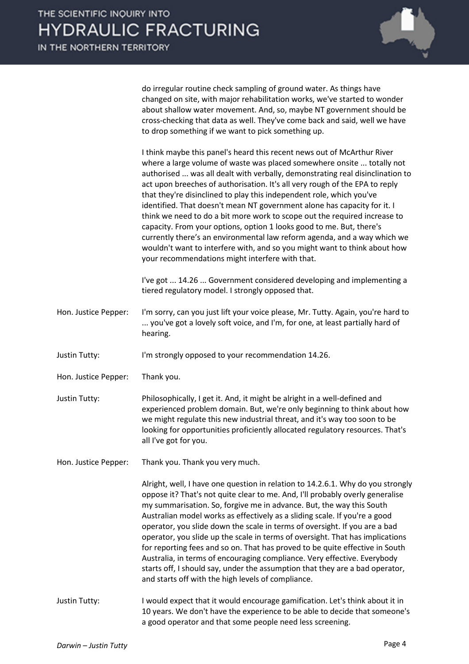IN THE NORTHERN TERRITORY



do irregular routine check sampling of ground water. As things have changed on site, with major rehabilitation works, we've started to wonder about shallow water movement. And, so, maybe NT government should be cross-checking that data as well. They've come back and said, well we have to drop something if we want to pick something up.

I think maybe this panel's heard this recent news out of McArthur River where a large volume of waste was placed somewhere onsite ... totally not authorised ... was all dealt with verbally, demonstrating real disinclination to act upon breeches of authorisation. It's all very rough of the EPA to reply that they're disinclined to play this independent role, which you've identified. That doesn't mean NT government alone has capacity for it. I think we need to do a bit more work to scope out the required increase to capacity. From your options, option 1 looks good to me. But, there's currently there's an environmental law reform agenda, and a way which we wouldn't want to interfere with, and so you might want to think about how your recommendations might interfere with that.

I've got ... 14.26 ... Government considered developing and implementing a tiered regulatory model. I strongly opposed that.

Hon. Justice Pepper: I'm sorry, can you just lift your voice please, Mr. Tutty. Again, you're hard to ... you've got a lovely soft voice, and I'm, for one, at least partially hard of hearing.

Justin Tutty: I'm strongly opposed to your recommendation 14.26.

- Hon. Justice Pepper: Thank you.
- Justin Tutty: Philosophically, I get it. And, it might be alright in a well-defined and experienced problem domain. But, we're only beginning to think about how we might regulate this new industrial threat, and it's way too soon to be looking for opportunities proficiently allocated regulatory resources. That's all I've got for you.

Hon. Justice Pepper: Thank you. Thank you very much.

Alright, well, I have one question in relation to 14.2.6.1. Why do you strongly oppose it? That's not quite clear to me. And, I'll probably overly generalise my summarisation. So, forgive me in advance. But, the way this South Australian model works as effectively as a sliding scale. If you're a good operator, you slide down the scale in terms of oversight. If you are a bad operator, you slide up the scale in terms of oversight. That has implications for reporting fees and so on. That has proved to be quite effective in South Australia, in terms of encouraging compliance. Very effective. Everybody starts off, I should say, under the assumption that they are a bad operator, and starts off with the high levels of compliance.

Justin Tutty: I would expect that it would encourage gamification. Let's think about it in 10 years. We don't have the experience to be able to decide that someone's a good operator and that some people need less screening.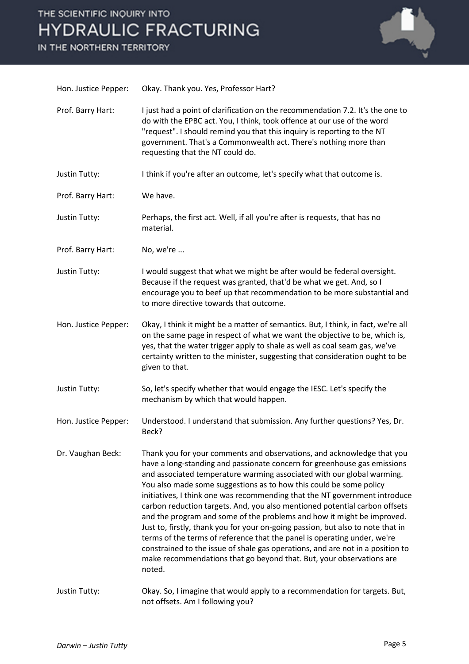## THE SCIENTIFIC INQUIRY INTO **HYDRAULIC FRACTURING**

IN THE NORTHERN TERRITORY



| Hon. Justice Pepper: | Okay. Thank you. Yes, Professor Hart?                                                                                                                                                                                                                                                                                                                                                                                                                                                                                                                                                                                                                                                                                                                                                                                                                                       |
|----------------------|-----------------------------------------------------------------------------------------------------------------------------------------------------------------------------------------------------------------------------------------------------------------------------------------------------------------------------------------------------------------------------------------------------------------------------------------------------------------------------------------------------------------------------------------------------------------------------------------------------------------------------------------------------------------------------------------------------------------------------------------------------------------------------------------------------------------------------------------------------------------------------|
| Prof. Barry Hart:    | I just had a point of clarification on the recommendation 7.2. It's the one to<br>do with the EPBC act. You, I think, took offence at our use of the word<br>"request". I should remind you that this inquiry is reporting to the NT<br>government. That's a Commonwealth act. There's nothing more than<br>requesting that the NT could do.                                                                                                                                                                                                                                                                                                                                                                                                                                                                                                                                |
| Justin Tutty:        | I think if you're after an outcome, let's specify what that outcome is.                                                                                                                                                                                                                                                                                                                                                                                                                                                                                                                                                                                                                                                                                                                                                                                                     |
| Prof. Barry Hart:    | We have.                                                                                                                                                                                                                                                                                                                                                                                                                                                                                                                                                                                                                                                                                                                                                                                                                                                                    |
| Justin Tutty:        | Perhaps, the first act. Well, if all you're after is requests, that has no<br>material.                                                                                                                                                                                                                                                                                                                                                                                                                                                                                                                                                                                                                                                                                                                                                                                     |
| Prof. Barry Hart:    | No, we're                                                                                                                                                                                                                                                                                                                                                                                                                                                                                                                                                                                                                                                                                                                                                                                                                                                                   |
| Justin Tutty:        | I would suggest that what we might be after would be federal oversight.<br>Because if the request was granted, that'd be what we get. And, so I<br>encourage you to beef up that recommendation to be more substantial and<br>to more directive towards that outcome.                                                                                                                                                                                                                                                                                                                                                                                                                                                                                                                                                                                                       |
| Hon. Justice Pepper: | Okay, I think it might be a matter of semantics. But, I think, in fact, we're all<br>on the same page in respect of what we want the objective to be, which is,<br>yes, that the water trigger apply to shale as well as coal seam gas, we've<br>certainty written to the minister, suggesting that consideration ought to be<br>given to that.                                                                                                                                                                                                                                                                                                                                                                                                                                                                                                                             |
| Justin Tutty:        | So, let's specify whether that would engage the IESC. Let's specify the<br>mechanism by which that would happen.                                                                                                                                                                                                                                                                                                                                                                                                                                                                                                                                                                                                                                                                                                                                                            |
| Hon. Justice Pepper: | Understood. I understand that submission. Any further questions? Yes, Dr.<br>Beck?                                                                                                                                                                                                                                                                                                                                                                                                                                                                                                                                                                                                                                                                                                                                                                                          |
| Dr. Vaughan Beck:    | Thank you for your comments and observations, and acknowledge that you<br>have a long-standing and passionate concern for greenhouse gas emissions<br>and associated temperature warming associated with our global warming.<br>You also made some suggestions as to how this could be some policy<br>initiatives, I think one was recommending that the NT government introduce<br>carbon reduction targets. And, you also mentioned potential carbon offsets<br>and the program and some of the problems and how it might be improved.<br>Just to, firstly, thank you for your on-going passion, but also to note that in<br>terms of the terms of reference that the panel is operating under, we're<br>constrained to the issue of shale gas operations, and are not in a position to<br>make recommendations that go beyond that. But, your observations are<br>noted. |
| Justin Tutty:        | Okay. So, I imagine that would apply to a recommendation for targets. But,<br>not offsets. Am I following you?                                                                                                                                                                                                                                                                                                                                                                                                                                                                                                                                                                                                                                                                                                                                                              |